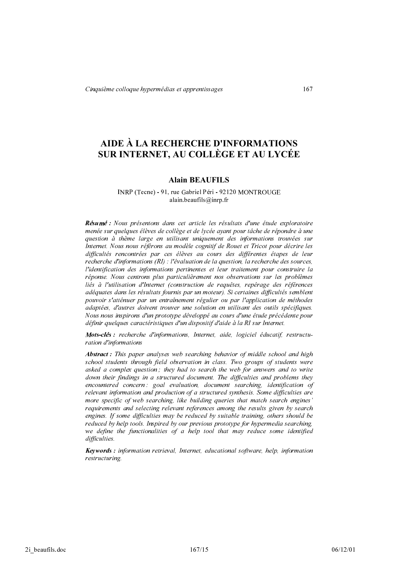# AIDE À LA RECHERCHE D'INFORMATIONS SUR INTERNET, AU COLLÈGE ET AU LYCÉE

## **Alain BEAUFILS**

#### INRP (Tecne) - 91, rue Gabriel Péri - 92120 MONTROUGE alain.beaufils@inrp.fr

Résumé : Nous présentons dans cet article les résultats d'une étude exploratoire menée sur quelques élèves de collège et de lycée ayant pour tâche de répondre à une question à thème large en utilisant uniquement des informations trouvées sur Internet. Nous nous référons au modèle cognitif de Rouet et Tricot pour décrire les difficultés rencontrées par ces élèves au cours des différentes étapes de leur recherche d'informations (RI) : l'évaluation de la question, la recherche des sources. l'identification des informations pertinentes et leur traitement pour construire la réponse. Nous centrons plus particulièrement nos observations sur les problèmes liés à l'utilisation d'Internet (construction de requêtes, repérage des références adéquates dans les résultats fournis par un moteur). Si certaines difficultés semblent pouvoir s'atténuer par un entraînement régulier ou par l'application de méthodes adaptées, d'autres doivent trouver une solution en utilisant des outils spécifiques. Nous nous inspirons d'un prototype développé au cours d'une étude précédente pour définir quelques caractéristiques d'un dispositif d'aide à la RI sur Internet.

Mots-clés: recherche d'informations, Internet, aide, logiciel éducatif, restructuration d'informations

**Abstract**: This paper analyses web searching behavior of middle school and high school students through field observation in class. Two groups of students were asked a complex question; they had to search the web for answers and to write down their findings in a structured document. The difficulties and problems they encountered concern: goal evaluation, document searching, identification of relevant information and production of a structured synthesis. Some difficulties are more specific of web searching, like building queries that match search engines' requirements and selecting relevant references among the results given by search engines. If some difficulties may be reduced by suitable training, others should be reduced by help tools. Inspired by our previous prototype for hypermedia searching, we define the functionalities of a help tool that may reduce some identified difficulties.

**Keywords**: information retrieval, Internet, educational software, help, information restructuring.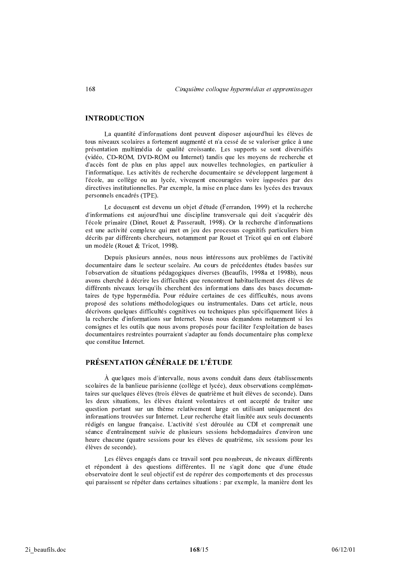## **INTRODUCTION**

La quantité d'informations dont peuvent disposer aujourd'hui les élèves de tous niveaux scolaires a fortement augmenté et n'a cessé de se valoriser grâce à une présentation multimédia de qualité croissante. Les supports se sont diversifiés (vidéo, CD-ROM, DVD-ROM ou Internet) tandis que les moyens de recherche et d'accès font de plus en plus appel aux nouvelles technologies, en particulier à l'informatique. Les activités de recherche documentaire se développent largement à l'école, au collège ou au lycée, vivement encouragées voire imposées par des directives institutionnelles. Par exemple, la mise en place dans les lycées des travaux personnels encadrés (TPE).

Le document est devenu un objet d'étude (Ferrandon, 1999) et la recherche d'informations est aujourd'hui une discipline transversale qui doit s'acquérir dès l'école primaire (Dinet, Rouet & Passerault, 1998). Or la recherche d'informations est une activité complexe qui met en jeu des processus cognitifs particuliers bien décrits par différents chercheurs, notamment par Rouet et Tricot qui en ont élaboré un modèle (Rouet & Tricot, 1998).

Depuis plusieurs années, nous nous intéressons aux problèmes de l'activité documentaire dans le secteur scolaire. Au cours de précédentes études basées sur l'observation de situations pédagogiques diverses (Beaufils, 1998a et 1998b), nous avons cherché à décrire les difficultés que rencontrent habituellement des élèves de différents niveaux lorsqu'ils cherchent des informations dans des bases documentaires de type hypermédia. Pour réduire certaines de ces difficultés, nous avons proposé des solutions méthodologiques ou instrumentales. Dans cet article, nous décrivons quelques difficultés cognitives ou techniques plus spécifiquement liées à la recherche d'informations sur Internet. Nous nous demandons notamment si les consignes et les outils que nous avons proposés pour faciliter l'exploitation de bases documentaires restreintes pourraient s'adapter au fonds documentaire plus complexe que constitue Internet.

## PRÉSENTATION GÉNÉRALE DE L'ÉTUDE

À quelques mois d'intervalle, nous avons conduit dans deux établissements scolaires de la banlieue parisienne (collège et lycée), deux observations complémentaires sur quelques élèves (trois élèves de quatrième et huit élèves de seconde). Dans les deux situations, les élèves étaient volontaires et ont accepté de traiter une question portant sur un thème relativement large en utilisant uniquement des informations trouvées sur Internet. Leur recherche était limitée aux seuls documents rédigés en langue française. L'activité s'est déroulée au CDI et comprenait une séance d'entraînement suivie de plusieurs sessions hebdomadaires d'environ une heure chacune (quatre sessions pour les élèves de quatrième, six sessions pour les élèves de seconde).

Les élèves engagés dans ce travail sont peu nombreux, de niveaux différents et répondent à des questions différentes. Il ne s'agit donc que d'une étude observatoire dont le seul objectif est de repérer des comportements et des processus qui paraissent se répéter dans certaines situations : par exemple, la manière dont les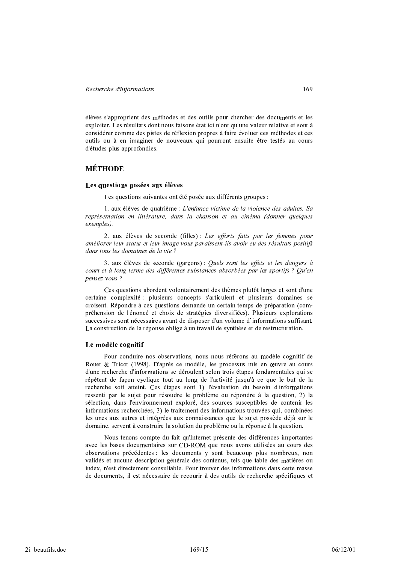élèves s'approprient des méthodes et des outils pour chercher des documents et les exploiter. Les résultats dont nous faisons état ici n'ont qu'une valeur relative et sont à considérer comme des pistes de réflexion propres à faire évoluer ces méthodes et ces outils ou à en imaginer de nouveaux qui pourront ensuite être testés au cours d'études plus approfondies.

## **MÉTHODE**

#### Les questions posées aux élèves

Les questions suivantes ont été posée aux différents groupes :

1. aux élèves de quatrième : L'enfance victime de la violence des adultes. Sa représentation en littérature, dans la chanson et au cinéma (donner quelques exemples).

2. aux élèves de seconde (filles): Les efforts faits par les femmes pour améliorer leur statut et leur image vous paraissent-ils avoir eu des résultats positifs dans tous les domaines de la vie?

3. aux élèves de seconde (garçons): Quels sont les effets et les dangers à court et à long terme des différentes substances absorbées par les sportifs ? Ou'en pensez-vous ?

Ces questions abordent volontairement des thèmes plutôt larges et sont d'une certaine complexité : plusieurs concepts s'articulent et plusieurs domaines se croisent. Répondre à ces questions demande un certain temps de préparation (compréhension de l'énoncé et choix de stratégies diversifiées). Plusieurs explorations successives sont nécessaires avant de disposer d'un volume d'informations suffisant. La construction de la réponse oblige à un travail de synthèse et de restructuration.

#### Le modèle cognitif

Pour conduire nos observations, nous nous référons au modèle cognitif de Rouet & Tricot (1998). D'après ce modèle, les processus mis en œuvre au cours d'une recherche d'informations se déroulent selon trois étapes fondamentales qui se répètent de façon cyclique tout au long de l'activité jusqu'à ce que le but de la recherche soit atteint. Ces étapes sont 1) l'évaluation du besoin d'informations ressenti par le sujet pour résoudre le problème ou répondre à la question, 2) la sélection, dans l'environnement exploré, des sources susceptibles de contenir les informations recherchées, 3) le traitement des informations trouvées qui, combinées les unes aux autres et intégrées aux connaissances que le sujet possède déjà sur le domaine, servent à construire la solution du problème ou la réponse à la question.

Nous tenons compte du fait qu'Internet présente des différences importantes avec les bases documentaires sur CD-ROM que nous avons utilisées au cours des observations précédentes : les documents y sont beaucoup plus nombreux, non validés et aucune description générale des contenus, tels que table des matières ou index, n'est directement consultable. Pour trouver des informations dans cette masse de documents, il est nécessaire de recourir à des outils de recherche spécifiques et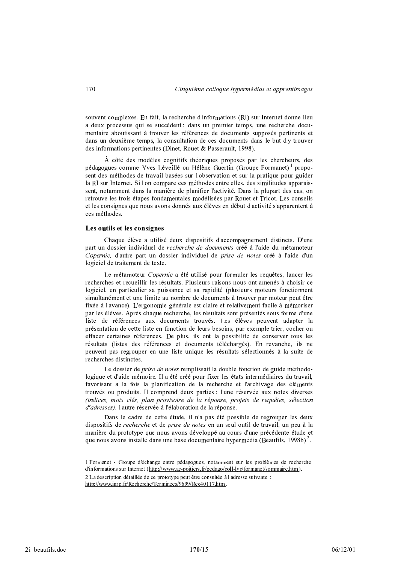souvent complexes. En fait, la recherche d'informations (RI) sur Internet donne lieu à deux processus qui se succèdent : dans un premier temps, une recherche documentaire aboutissant à trouver les références de documents supposés pertinents et dans un deuxième temps, la consultation de ces documents dans le but d'y trouver des informations pertinentes (Dinet, Rouet & Passerault, 1998).

À côté des modèles cognitifs théoriques proposés par les chercheurs, des pédagogues comme Yves Léveillé ou Hélène Guertin (Groupe Formanet)<sup>1</sup> proposent des méthodes de travail basées sur l'observation et sur la pratique pour guider la RI sur Internet. Si l'on compare ces méthodes entre elles, des similitudes apparaissent, notamment dans la manière de planifier l'activité. Dans la plupart des cas, on retrouve les trois étapes fondamentales modélisées par Rouet et Tricot. Les conseils et les consignes que nous avons donnés aux élèves en début d'activité s'apparentent à ces méthodes.

#### Les outils et les consignes

Chaque élève a utilisé deux dispositifs d'accompagnement distincts. D'une part un dossier individuel de *recherche de documents* créé à l'aide du métamoteur Copernic, d'autre part un dossier individuel de *prise de notes* créé à l'aide d'un logiciel de traitement de texte.

Le métamoteur Copernic a été utilisé pour formuler les requêtes, lancer les recherches et recueillir les résultats. Plusieurs raisons nous ont amenés à choisir ce logiciel, en particulier sa puissance et sa rapidité (plusieurs moteurs fonctionnent simultanément et une limite au nombre de documents à trouver par moteur peut être fixée à l'avance). L'ergonomie générale est claire et relativement facile à mémoriser par les élèves. Après chaque recherche, les résultats sont présentés sous forme d'une liste de références aux documents trouvés. Les élèves peuvent adapter la présentation de cette liste en fonction de leurs besoins, par exemple trier, cocher ou effacer certaines références. De plus, ils ont la possibilité de conserver tous les résultats (listes des références et documents téléchargés). En revanche, ils ne peuvent pas regrouper en une liste unique les résultats sélectionnés à la suite de recherches distinctes.

Le dossier de *prise de notes* remplissait la double fonction de guide méthodologique et d'aide mémoire. Il a été créé pour fixer les états intermédiaires du travail, favorisant à la fois la planification de la recherche et l'archivage des éléments trouvés ou produits. Il comprend deux parties : l'une réservée aux notes diverses (indices, mots clés, plan provisoire de la réponse, projets de requêtes, sélection d'adresses), l'autre réservée à l'élaboration de la réponse.

Dans le cadre de cette étude, il n'a pas été possible de regrouper les deux dispositifs de *recherche* et de *prise de notes* en un seul outil de travail, un peu à la manière du prototype que nous avons développé au cours d'une précédente étude et que nous avons installé dans une base documentaire hypermédia (Beaufils, 1998b)<sup>2</sup>.

<sup>1</sup> Formanet - Groupe d'échange entre pédagogues, notamment sur les problèmes de recherche d'informations sur Internet (http://www.ac-poitiers.fr/pedago/coll-lyc/formanet/sommaire.htm).

<sup>2</sup> La description détaillée de ce prototype peut être consultée à l'adresse suivante : http://www.inrp.fr/Recherche/Terminees/9699/Rec40117.htm.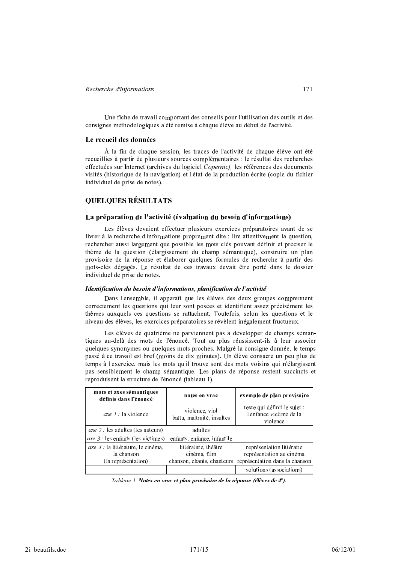Une fiche de travail comportant des conseils pour l'utilisation des outils et des consignes méthodologiques a été remise à chaque élève au début de l'activité.

## Le recueil des données

À la fin de chaque session, les traces de l'activité de chaque élève ont été recueillies à partir de plusieurs sources complémentaires : le résultat des recherches effectuées sur Internet (archives du logiciel Copernic), les références des documents visités (historique de la navigation) et l'état de la production écrite (copie du fichier individuel de prise de notes).

## **OUELOUES RÉSULTATS**

#### La préparation de l'activité (évaluation du besoin d'informations)

Les élèves devaient effectuer plusieurs exercices préparatoires avant de se livrer à la recherche d'informations proprement dite : lire attentivement la question, rechercher aussi largement que possible les mots clés pouvant définir et préciser le thème de la question (élargissement du champ sémantique), construire un plan provisoire de la réponse et élaborer quelques formules de recherche à partir des mots-clés dégagés. Le résultat de ces travaux devait être porté dans le dossier individuel de prise de notes.

#### Identification du besoin d'informations, planification de l'activité

Dans l'ensemble, il apparaît que les élèves des deux groupes comprennent correctement les questions qui leur sont posées et identifient assez précisément les thèmes auxquels ces questions se rattachent. Toutefois, selon les questions et le niveau des élèves, les exercices préparatoires se révèlent inégalement fructueux.

Les élèves de quatrième ne parviennent pas à développer de champs sémantiques au-delà des mots de l'énoncé. Tout au plus réussissent-ils à leur associer quelques synonymes ou quelques mots proches. Malgré la consigne donnée, le temps passé à ce travail est bref (moins de dix minutes). Un élève consacre un peu plus de temps à l'exercice, mais les mots qu'il trouve sont des mots voisins qui n'élargissent pas sensiblement le champ sémantique. Les plans de réponse restent succincts et reproduisent la structure de l'énoncé (tableau 1).

| mots et axes sémantiques<br>définis dans l'énoncé                              | notes en vrac                                | exemple de plan provisoire                                                                                         |
|--------------------------------------------------------------------------------|----------------------------------------------|--------------------------------------------------------------------------------------------------------------------|
| axe $1$ : la violence                                                          | violence, viol<br>battu, maltraité, insultes | texte qui définit le sujet :<br>l'enfance victime de la<br>violence                                                |
| <i>axe 2</i> : les adultes (les auteurs)                                       | adultes                                      |                                                                                                                    |
| <i>axe 3</i> les enfants (les victimes)                                        | enfants, enfance, infantile                  |                                                                                                                    |
| <i>axe 4</i> : la littérature, le cinéma,<br>la chanson<br>(la représentation) | littérature, théâtre<br>cinéma, film         | représentation littéraire<br>représentation au cinéma<br>chanson, chants, chanteurs représentation dans la chanson |
|                                                                                |                                              | solutions (associations)                                                                                           |

Tableau 1. Notes en vrac et plan provisoire de la réponse (élèves de 4<sup>e</sup>).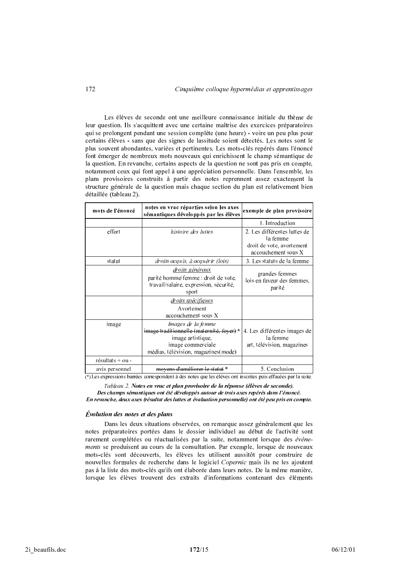Les élèves de seconde ont une meilleure connaissance initiale du thème de leur question. Ils s'acquittent avec une certaine maîtrise des exercices préparatoires qui se prolongent pendant une session complète (une heure) - voire un peu plus pour certains élèves - sans que des signes de lassitude soient détectés. Les notes sont le plus souvent abondantes, variées et pertinentes. Les mots-clés repérés dans l'énoncé font émerger de nombreux mots nouveaux qui enrichissent le champ sémantique de la question. En revanche, certains aspects de la question ne sont pas pris en compte, notamment ceux qui font appel à une appréciation personnelle. Dans l'ensemble, les plans provisoires construits à partir des notes reprennent assez exactement la structure générale de la question mais chaque section du plan est relativement bien détaillée (tableau 2).

| mots de l'énoncé    | notes en vrac réparties selon les axes<br>sémantiques développés par les élèves                                                                 | exemple de plan provisoire                                                                   |  |
|---------------------|-------------------------------------------------------------------------------------------------------------------------------------------------|----------------------------------------------------------------------------------------------|--|
|                     |                                                                                                                                                 | 1. Introduction                                                                              |  |
| effort              | <i>histoire des luttes</i>                                                                                                                      | 2. Les différentes luttes de<br>la femme<br>droit de vote, avortement<br>accouchement sous X |  |
| statut              | droits acquis, à acquérir (lois)                                                                                                                | 3. Les statuts de la femme                                                                   |  |
|                     | <u>droits généraux</u><br>parité homme/femme : droit de vote,<br>travail/salaire, expression, sécurité,<br>sport                                | grandes femmes<br>lois en faveur des femmes.<br>parité                                       |  |
|                     | droits spécifiques<br>Avortement<br>accouchement sous X                                                                                         |                                                                                              |  |
| image               | Images de la femme<br>image traditionnelle (maternité, foyer)*<br>image artistique,<br>image commerciale<br>médias, télévision, magazines(mode) | 4. Les différentes images de<br>la femme<br>art, télévision, magazines                       |  |
| $r$ ésultats + ou - |                                                                                                                                                 |                                                                                              |  |
| avis personnel      | <u>s d'améliorer le statut *</u>                                                                                                                | 5. Conclusion                                                                                |  |

(\*) Les expressions barrées correspondent à des notes que les élèves ont inscrites puis effacées par la suite

Tableau 2. Notes en vrac et plan provisoire de la réponse (élèves de seconde). Des champs sémantiques ont été développés autour de trois axes repérés dans l'énoncé. En revanche, deux axes (résultat des luttes et évaluation personnelle) ont été peu pris en compte.

#### **Évolution des notes et des plans**

Dans les deux situations observées, on remarque assez généralement que les notes préparatoires portées dans le dossier individuel au début de l'activité sont rarement complétées ou réactualisées par la suite, notamment lorsque des événements se produisent au cours de la consultation. Par exemple, lorsque de nouveaux mots-clés sont découverts, les élèves les utilisent aussitôt pour construire de nouvelles formules de recherche dans le logiciel Copernic mais ils ne les ajoutent pas à la liste des mots-clés qu'ils ont élaborée dans leurs notes. De la même manière, lorsque les élèves trouvent des extraits d'informations contenant des éléments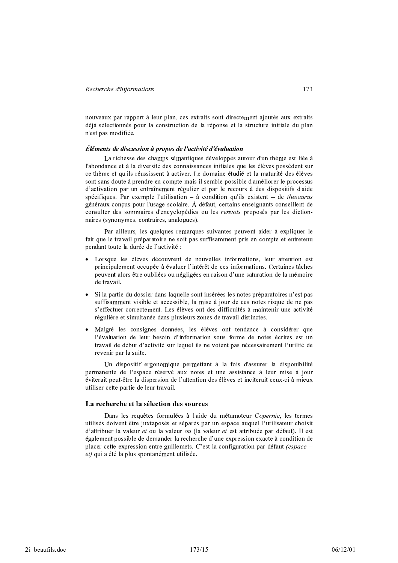nouveaux par rapport à leur plan, ces extraits sont directement ajoutés aux extraits déjà sélectionnés pour la construction de la réponse et la structure initiale du plan n'est pas modifiée.

#### Éléments de discussion à propos de l'activité d'évaluation

La richesse des champs sémantiques développés autour d'un thème est liée à l'abondance et à la diversité des connaissances initiales que les élèves possèdent sur ce thème et qu'ils réussissent à activer. Le domaine étudié et la maturité des élèves sont sans doute à prendre en compte mais il semble possible d'améliorer le processus d'activation par un entraînement régulier et par le recours à des dispositifs d'aide spécifiques. Par exemple l'utilisation  $-$  à condition qu'ils existent  $-$  de thesaurus généraux conçus pour l'usage scolaire. À défaut, certains enseignants conseillent de consulter des sommaires d'encyclopédies ou les *renvois* proposés par les dictionnaires (synonymes, contraires, analogues).

Par ailleurs, les quelques remarques suivantes peuvent aider à expliquer le fait que le travail préparatoire ne soit pas suffisamment pris en compte et entretenu pendant toute la durée de l'activité :

- · Lorsque les élèves découvrent de nouvelles informations, leur attention est principalement occupée à évaluer l'intérêt de ces informations. Certaines tâches peuvent alors être oubliées ou négligées en raison d'une saturation de la mémoire de travail.
- Si la partie du dossier dans laquelle sont insérées les notes préparatoires n'est pas suffisamment visible et accessible, la mise à jour de ces notes risque de ne pas s'effectuer correctement. Les élèves ont des difficultés à maintenir une activité régulière et simultanée dans plusieurs zones de travail distinctes.
- · Malgré les consignes données, les élèves ont tendance à considérer que l'évaluation de leur besoin d'information sous forme de notes écrites est un travail de début d'activité sur lequel ils ne voient pas nécessairement l'utilité de revenir par la suite.

Un dispositif ergonomique permettant à la fois d'assurer la disponibilité permanente de l'espace réservé aux notes et une assistance à leur mise à jour éviterait peut-être la dispersion de l'attention des élèves et inciterait ceux-ci à mieux utiliser cette partie de leur travail.

#### La recherche et la sélection des sources

Dans les requêtes formulées à l'aide du métamoteur Copernic, les termes utilisés doivent être juxtaposés et séparés par un espace auquel l'utilisateur choisit d'attribuer la valeur et ou la valeur ou (la valeur et est attribuée par défaut). Il est également possible de demander la recherche d'une expression exacte à condition de placer cette expression entre guillemets. C'est la configuration par défaut *(espace =* et) qui a été la plus spontanément utilisée.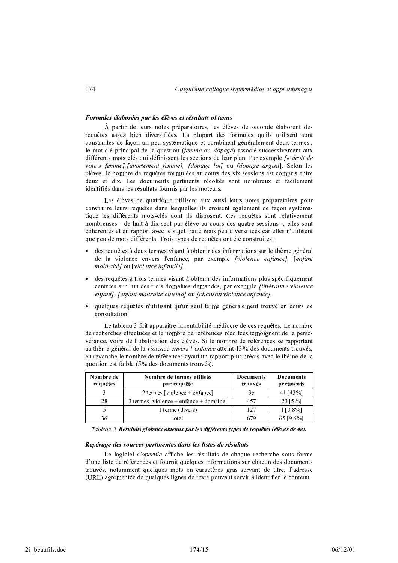## Formules élaborées par les élèves et résultats obtenus

À partir de leurs notes préparatoires, les élèves de seconde élaborent des requêtes assez bien diversifiées. La plupart des formules qu'ils utilisent sont construites de façon un peu systématique et combinent généralement deux termes : le mot-clé principal de la question (femme ou dopage) associé successivement aux différents mots clés qui définissent les sections de leur plan. Par exemple [« droit de vote » femme]. [avortement femme]. [dopage loi] ou [dopage argent]. Selon les élèves, le nombre de requêtes formulées au cours des six sessions est compris entre deux et dix. Les documents pertinents récoltés sont nombreux et facilement identifiés dans les résultats fournis par les moteurs.

Les élèves de quatrième utilisent eux aussi leurs notes préparatoires pour construire leurs requêtes dans lesquelles ils croisent également de façon systématique les différents mots-clés dont ils disposent. Ces requêtes sont relativement nombreuses - de huit à dix-sept par élève au cours des quatre sessions -, elles sont cohérentes et en rapport avec le sujet traité mais peu diversifiées car elles n'utilisent que peu de mots différents. Trois types de requêtes ont été construites :

- des requêtes à deux termes visant à obtenir des informations sur le thème général de la violence envers l'enfance, par exemple *[violence enfance]*, [enfant maltraité] ou [violence infantile].
- des requêtes à trois termes visant à obtenir des informations plus spécifiquement centrées sur l'un des trois domaines demandés, par exemple *flittérature violence* enfant], [enfant maltraité cinéma] ou [chanson violence enfance].
- · quelques requêtes n'utilisant qu'un seul terme généralement trouvé en cours de consultation.

Le tableau 3 fait apparaître la rentabilité médiocre de ces requêtes. Le nombre de recherches effectuées et le nombre de références récoltées témoignent de la persévérance, voire de l'obstination des élèves. Si le nombre de références se rapportant au thème général de la violence envers l'enfance atteint 43% des documents trouvés, en revanche le nombre de références ayant un rapport plus précis avec le thème de la question est faible (5% des documents trouvés).

| Nombre de<br>requêtes | Nombre de termes utilisés<br>par requête | Documents<br>trouvés | Documents<br>pertinents |
|-----------------------|------------------------------------------|----------------------|-------------------------|
|                       | 2 termes [violence + enfance]            | 95                   | 41 [43 %]               |
| 28                    | 3 termes [violence + enfance + domaine]  | 457                  | $23$ [5%]               |
|                       | 1 terme (divers)                         | 127                  | $1\, [0,8\%]$           |
| 36                    | total                                    | 679                  | 65 [9.6%]               |

Tableau 3. Résultats globaux obtenus par les différents types de requêtes (élèves de 4e).

#### Repérage des sources pertinentes dans les listes de résultats

Le logiciel Copernic affiche les résultats de chaque recherche sous forme d'une liste de références et fournit quelques informations sur chacun des documents trouvés, notamment quelques mots en caractères gras servant de titre, l'adresse (URL) agrémentée de quelques lignes de texte pouvant servir à identifier le contenu.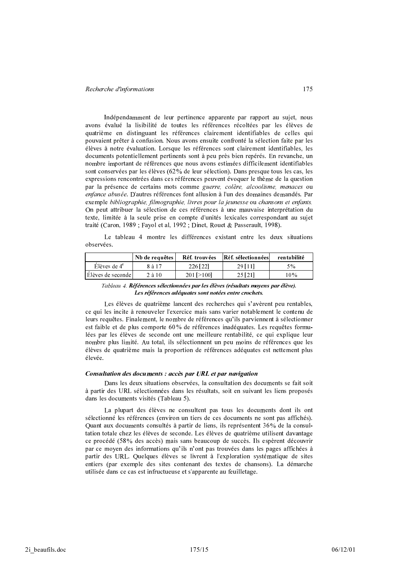Indépendamment de leur pertinence apparente par rapport au sujet, nous avons évalué la lisibilité de toutes les références récoltées par les élèves de quatrième en distinguant les références clairement identifiables de celles qui pouvaient prêter à confusion. Nous avons ensuite confronté la sélection faite par les élèves à notre évaluation. Lorsque les références sont clairement identifiables, les documents potentiellement pertinents sont à peu près bien repérés. En revanche, un nombre important de références que nous avons estimées difficilement identifiables sont conservées par les élèves (62% de leur sélection). Dans presque tous les cas, les expressions rencontrées dans ces références peuvent évoquer le thème de la question par la présence de certains mots comme guerre, colère, alcoolisme, menaces ou enfance abusée. D'autres références font allusion à l'un des domaines demandés. Par exemple bibliographie, filmographie, livres pour la jeunesse ou chansons et enfants. On peut attribuer la sélection de ces références à une mauvaise interprétation du texte, limitée à la seule prise en compte d'unités lexicales correspondant au sujet traité (Caron, 1989 ; Fayol et al, 1992 ; Dinet, Rouet & Passerault, 1998).

Le tableau 4 montre les différences existant entre les deux situations observées.

|                             | Nb de requêtes | Réf. trouvées  | Réf. sélectionnées | rentabilité |
|-----------------------------|----------------|----------------|--------------------|-------------|
| $E$ lèves de 4 <sup>e</sup> | 8 à 17         | 226 [22]       | 29 [11]            | 5%          |
| Elèves de seconde           | $2$ à $10$     | $201 \ge 1001$ | 25 [21]            | 10%         |

Tableau 4. Références sélectionnées par les élèves (résultats moyens par élève). Les références adéquates sont notées entre crochets.

Les élèves de quatrième lancent des recherches qui s'avèrent peu rentables, ce qui les incite à renouveler l'exercice mais sans varier notablement le contenu de leurs requêtes. Finalement, le nombre de références qu'ils parviennent à sélectionner est faible et de plus comporte 60% de références inadéquates. Les requêtes formulées par les élèves de seconde ont une meilleure rentabilité, ce qui explique leur nombre plus limité. Au total, ils sélectionnent un peu moins de références que les élèves de quatrième mais la proportion de références adéquates est nettement plus élevée.

#### Consultation des documents : accès par URL et par navigation

Dans les deux situations observées, la consultation des documents se fait soit à partir des URL sélectionnées dans les résultats, soit en suivant les liens proposés dans les documents visités (Tableau 5).

La plupart des élèves ne consultent pas tous les documents dont ils ont sélectionné les références (environ un tiers de ces documents ne sont pas affichés). Quant aux documents consultés à partir de liens, ils représentent 36% de la consultation totale chez les élèves de seconde. Les élèves de quatrième utilisent davantage ce procédé (58% des accès) mais sans beaucoup de succès. Ils espèrent découvrir par ce moyen des informations qu'ils n'ont pas trouvées dans les pages affichées à partir des URL. Quelques élèves se livrent à l'exploration systématique de sites entiers (par exemple des sites contenant des textes de chansons). La démarche utilisée dans ce cas est infructueuse et s'apparente au feuilletage.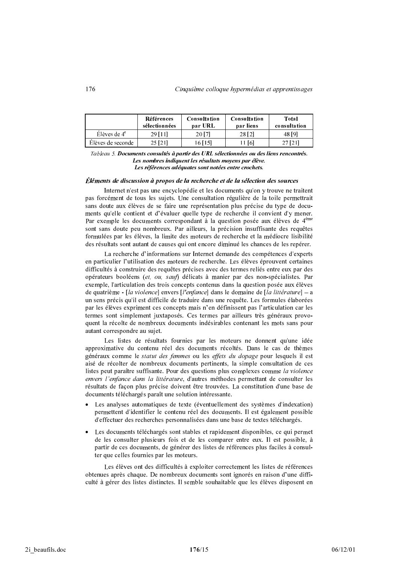|                    | Références<br>sélectionnées | <b>Consultation</b><br>par URL | <b>Consultation</b><br>par liens | Total<br>consultation |
|--------------------|-----------------------------|--------------------------------|----------------------------------|-----------------------|
| $E$ lèves de $4^e$ | 29 11 11                    | 20 [7]                         | 28 [2]                           | 48 [9]                |
| Élèves de seconde  | 25 [21]                     | 6 1 1 5 1                      | 16.                              |                       |

Tableau 5. Documents consultés à partir des URL sélectionnées ou des liens rencontrés. Les nombres indiquent les résultats moyens par élève. Les références adéquates sont notées entre crochets.

#### Éléments de discussion à propos de la recherche et de la sélection des sources

Internet n'est pas une encyclopédie et les documents qu'on y trouve ne traitent pas forcément de tous les sujets. Une consultation régulière de la toile permettrait sans doute aux élèves de se faire une représentation plus précise du type de documents qu'elle contient et d'évaluer quelle type de recherche il convient d'y mener. Par exemple les documents correspondant à la question posée aux élèves de 4<sup>ème</sup> sont sans doute peu nombreux. Par ailleurs, la précision insuffisante des requêtes formulées par les élèves, la limite des moteurs de recherche et la médiocre lisibilité des résultats sont autant de causes qui ont encore diminué les chances de les repérer.

La recherche d'informations sur Internet demande des compétences d'experts en particulier l'utilisation des moteurs de recherche. Les élèves éprouvent certaines difficultés à construire des requêtes précises avec des termes reliés entre eux par des opérateurs booléens (et. ou, sauf) délicats à manier par des non-spécialistes. Par exemple, l'articulation des trois concepts contenus dans la question posée aux élèves de quatrième - [la violence] envers [l'enfance] dans le domaine de [la littérature] – a un sens précis qu'il est difficile de traduire dans une requête. Les formules élaborées par les élèves expriment ces concepts mais n'en définissent pas l'articulation car les termes sont simplement juxtaposés. Ces termes par ailleurs très généraux provoquent la récolte de nombreux documents indésirables contenant les mots sans pour autant correspondre au sujet.

Les listes de résultats fournies par les moteurs ne donnent qu'une idée approximative du contenu réel des documents récoltés. Dans le cas de thèmes généraux comme le statut des femmes ou les effets du dopage pour lesquels il est aisé de récolter de nombreux documents pertinents, la simple consultation de ces listes peut paraître suffisante. Pour des questions plus complexes comme la violence envers l'enfance dans la littérature, d'autres méthodes permettant de consulter les résultats de facon plus précise doivent être trouvées. La constitution d'une base de documents téléchargés paraît une solution intéressante.

- Les analyses automatiques de texte (éventuellement des systèmes d'indexation) permettent d'identifier le contenu réel des documents. Il est également possible d'effectuer des recherches personnalisées dans une base de textes téléchargés.
- Les documents téléchargés sont stables et rapidement disponibles, ce qui permet de les consulter plusieurs fois et de les comparer entre eux. Il est possible, à partir de ces documents, de générer des listes de références plus faciles à consulter que celles fournies par les moteurs.

Les élèves ont des difficultés à exploiter correctement les listes de références obtenues après chaque. De nombreux documents sont ignorés en raison d'une difficulté à gérer des listes distinctes. Il semble souhaitable que les élèves disposent en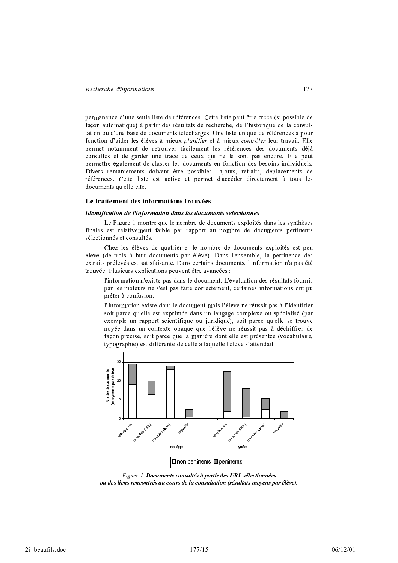permanence d'une seule liste de références. Cette liste peut être créée (si possible de façon automatique) à partir des résultats de recherche, de l'historique de la consultation ou d'une base de documents téléchargés. Une liste unique de références a pour fonction d'aider les élèves à mieux planifier et à mieux contrôler leur travail. Elle permet notamment de retrouver facilement les références des documents déjà consultés et de garder une trace de ceux qui ne le sont pas encore. Elle peut permettre également de classer les documents en fonction des besoins individuels. Divers remaniements doivent être possibles : ajouts, retraits, déplacements de références. Cette liste est active et permet d'accéder directement à tous les documents qu'elle cite.

#### Le traitement des informations trouvées

#### Identification de l'information dans les documents sélectionnés

Le Figure 1 montre que le nombre de documents exploités dans les synthèses finales est relativement faible par rapport au nombre de documents pertinents sélectionnés et consultés.

Chez les élèves de quatrième, le nombre de documents exploités est peu élevé (de trois à huit documents par élève). Dans l'ensemble, la pertinence des extraits prélevés est satisfaisante. Dans certains documents, l'information n'a pas été trouvée. Plusieurs explications peuvent être avancées :

- l'information n'existe pas dans le document. L'évaluation des résultats fournis par les moteurs ne s'est pas faite correctement, certaines informations ont pu prêter à confusion.
- $-$  l'information existe dans le document mais l'élève ne réussit pas à l'identifier soit parce qu'elle est exprimée dans un langage complexe ou spécialisé (par exemple un rapport scientifique ou juridique), soit parce qu'elle se trouve noyée dans un contexte opaque que l'élève ne réussit pas à déchiffrer de façon précise, soit parce que la manière dont elle est présentée (vocabulaire, typographie) est différente de celle à laquelle l'élève s'attendait.



Figure 1. Documents consultés à partir des URL sélectionnées ou des liens rencontrés au cours de la consultation (résultats moyens par élève).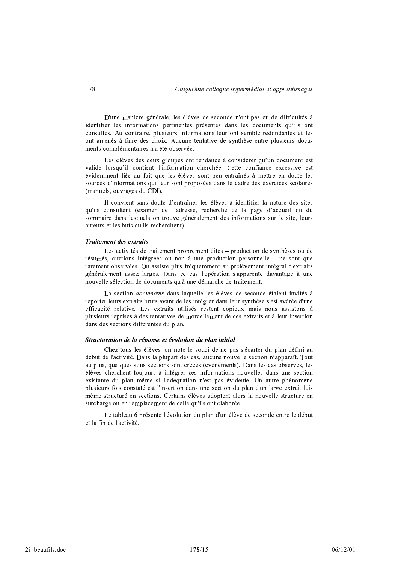D'une manière générale, les élèves de seconde n'ont pas eu de difficultés à identifier les informations pertinentes présentes dans les documents qu'ils ont consultés. Au contraire, plusieurs informations leur ont semblé redondantes et les ont amenés à faire des choix. Aucune tentative de synthèse entre plusieurs documents complémentaires n'a été observée.

Les élèves des deux groupes ont tendance à considérer qu'un document est valide lorsqu'il contient l'information cherchée. Cette confiance excessive est évidemment liée au fait que les élèves sont peu entraînés à mettre en doute les sources d'informations qui leur sont proposées dans le cadre des exercices scolaires (manuels, ouvrages du CDI).

Il convient sans doute d'entraîner les élèves à identifier la nature des sites qu'ils consultent (examen de l'adresse, recherche de la page d'accueil ou du sommaire dans lesquels on trouve généralement des informations sur le site, leurs auteurs et les buts qu'ils recherchent).

#### **Traitement des extraits**

Les activités de traitement proprement dites – production de synthèses ou de résumés, citations intégrées ou non à une production personnelle – ne sont que rarement observées. On assiste plus fréquemment au prélèvement intégral d'extraits généralement assez larges. Dans ce cas l'opération s'apparente davantage à une nouvelle sélection de documents qu'à une démarche de traitement.

La section *documents* dans laquelle les élèves de seconde étaient invités à reporter leurs extraits bruts avant de les intégrer dans leur synthèse s'est avérée d'une efficacité relative. Les extraits utilisés restent copieux mais nous assistons à plusieurs reprises à des tentatives de morcellement de ces extraits et à leur insertion dans des sections différentes du plan.

#### Structuration de la réponse et évolution du plan initial

Chez tous les élèves, on note le souci de ne pas s'écarter du plan défini au début de l'activité. Dans la plupart des cas, aucune nouvelle section n'apparaît. Tout au plus, quelques sous sections sont créées (événements). Dans les cas observés, les élèves cherchent toujours à intégrer ces informations nouvelles dans une section existante du plan même si l'adéquation n'est pas évidente. Un autre phénomène plusieurs fois constaté est l'insertion dans une section du plan d'un large extrait luimême structuré en sections. Certains élèves adoptent alors la nouvelle structure en surcharge ou en remplacement de celle qu'ils ont élaborée.

Le tableau 6 présente l'évolution du plan d'un élève de seconde entre le début et la fin de l'activité.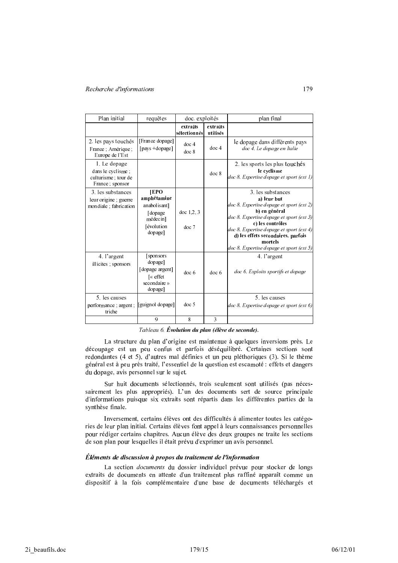| Plan initial                                                                  | requêtes                                                                                   | doc. exploités            |                      | plan final                                                                                                                                                                                                                                                                                             |
|-------------------------------------------------------------------------------|--------------------------------------------------------------------------------------------|---------------------------|----------------------|--------------------------------------------------------------------------------------------------------------------------------------------------------------------------------------------------------------------------------------------------------------------------------------------------------|
|                                                                               |                                                                                            | extraits<br>sélectionnés  | extraits<br>utilisés |                                                                                                                                                                                                                                                                                                        |
| 2. les pays touchés<br>France : Amérique :<br>Europe de l'Est                 | [France dopage]<br>[pays +dopage]                                                          | doc <sub>4</sub><br>doc 8 | doc <sub>4</sub>     | le dopage dans différents pays<br>doc 4. Le dopage en Italie                                                                                                                                                                                                                                           |
| 1. Le dopage<br>dans le cyclisme ;<br>culturisme; tour de<br>France ; sponsor |                                                                                            |                           | doc 8                | 2. les sports les plus touchés<br>le cyclisme<br>doc 8. Expertise dopage et sport (ext 1)                                                                                                                                                                                                              |
| 3. les substances<br>leur origine ; guerre<br>mondiale; fabrication           | <b>IEPO</b><br>amphétamine<br>anabolisant]<br>[dopage<br>médecin]<br>[évolution<br>dopage] | doc $1, 2, 3$<br>doc 7    |                      | 3. les substances<br>a) leur but<br>doc 8. Expertise dopage et sport (ext 2)<br>b) en général<br>doc 8. Expertise dopage et sport (ext 3)<br>c) les contrôles<br>doc 8. Expertise dopage et sport (ext 4)<br>d) les effets secondaires, parfois<br>mortels<br>doc 8. Expertise dopage et sport (ext 5) |
| 4. l'argent<br>illicites ; sponsors                                           | [sponsors]<br>dopage]<br>[dopage argent]<br>[« effet<br>secondaire »<br>dopage]            | doc <sub>6</sub>          | doc <sub>6</sub>     | 4. l'argent<br>doc 6. Exploits sportifs et dopage                                                                                                                                                                                                                                                      |
| 5. les causes<br>performance ; argent ;<br>triche                             | [guignol dopage]                                                                           | doc <sub>5</sub>          |                      | 5. les causes<br>doc 8. Expertise dopage et sport (ext 6)                                                                                                                                                                                                                                              |
|                                                                               | 9                                                                                          | 8                         | 3                    |                                                                                                                                                                                                                                                                                                        |

Tableau 6. Évolution du plan (élève de seconde).

La structure du plan d'origine est maintenue à quelques inversions près. Le découpage est un peu confus et parfois déséquilibré. Certaines sections sont redondantes (4 et 5), d'autres mal définies et un peu pléthoriques (3). Si le thème général est à peu près traité, l'essentiel de la question est escamoté : effets et dangers du dopage, avis personnel sur le sujet.

Sur huit documents sélectionnés, trois seulement sont utilisés (pas nécessairement les plus appropriés). L'un des documents sert de source principale d'informations puisque six extraits sont répartis dans les différentes parties de la svnthèse finale.

Inversement, certains élèves ont des difficultés à alimenter toutes les catégories de leur plan initial. Certains élèves font appel à leurs connaissances personnelles pour rédiger certains chapitres. Aucun élève des deux groupes ne traite les sections de son plan pour lesquelles il était prévu d'exprimer un avis personnel.

#### Éléments de discussion à propos du traitement de l'information

La section *documents* du dossier individuel prévue pour stocker de longs extraits de documents en attente d'un traitement plus raffiné apparaît comme un dispositif à la fois complémentaire d'une base de documents téléchargés et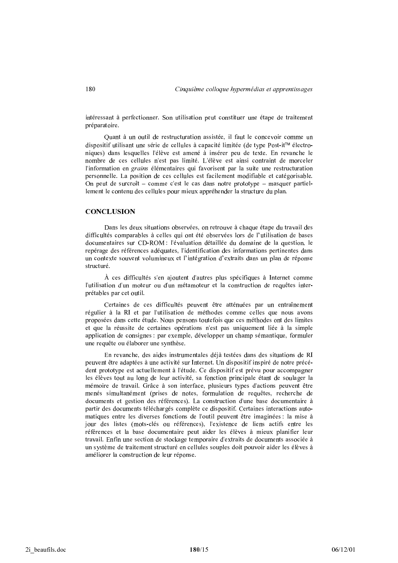intéressant à perfectionner. Son utilisation peut constituer une étape de traitement préparatoire.

Quant à un outil de restructuration assistée, il faut le concevoir comme un dispositif utilisant une série de cellules à capacité limitée (de type Post-it™ électroniques) dans lesquelles l'élève est amené à insérer peu de texte. En revanche le nombre de ces cellules n'est pas limité. L'élève est ainsi contraint de morceler l'information en *grains* élémentaires qui favorisent par la suite une restructuration personnelle. La position de ces cellules est facilement modifiable et catégorisable. On peut de surcroît – comme c'est le cas dans notre prototype – masquer partiellement le contenu des cellules pour mieux appréhender la structure du plan.

#### **CONCLUSION**

Dans les deux situations observées, on retrouve à chaque étape du travail des difficultés comparables à celles qui ont été observées lors de l'utilisation de bases documentaires sur CD-ROM : l'évaluation détaillée du domaine de la question, le repérage des références adéquates, l'identification des informations pertinentes dans un contexte souvent volumineux et l'intégration d'extraits dans un plan de réponse structuré

À ces difficultés s'en ajoutent d'autres plus spécifiques à Internet comme l'utilisation d'un moteur ou d'un métamoteur et la construction de requêtes interprétables par cet outil.

Certaines de ces difficultés peuvent être atténuées par un entraînement régulier à la RI et par l'utilisation de méthodes comme celles que nous avons proposées dans cette étude. Nous pensons toutefois que ces méthodes ont des limites et que la réussite de certaines opérations n'est pas uniquement liée à la simple application de consignes : par exemple, développer un champ sémantique, formuler une requête ou élaborer une synthèse.

En revanche, des aides instrumentales déjà testées dans des situations de RI peuvent être adaptées à une activité sur Internet. Un dispositif inspiré de notre précédent prototype est actuellement à l'étude. Ce dispositif est prévu pour accompagner les élèves tout au long de leur activité, sa fonction principale étant de soulager la mémoire de travail. Grâce à son interface, plusieurs types d'actions peuvent être menés simultanément (prises de notes, formulation de requêtes, recherche de documents et gestion des références). La construction d'une base documentaire à partir des documents téléchargés complète ce dispositif. Certaines interactions automatiques entre les diverses fonctions de l'outil peuvent être imaginées : la mise à jour des listes (mots-clés ou références), l'existence de liens actifs entre les références et la base documentaire peut aider les élèves à mieux planifier leur travail. Enfin une section de stockage temporaire d'extraits de documents associée à un système de traitement structuré en cellules souples doit pouvoir aider les élèves à améliorer la construction de leur réponse.